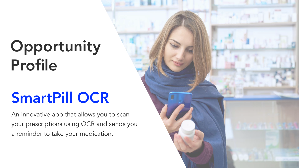# Opportunity Profile

# SmartPill OCR

An innovative app that allows you to scan your prescriptions using OCR and sends you a reminder to take your medication.

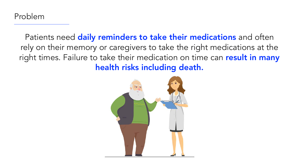Problem



Patients need daily reminders to take their medications and often rely on their memory or caregivers to take the right medications at the right times. Failure to take their medication on time can result in many health risks including death.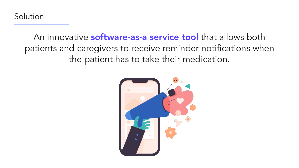

### An innovative software-as-a service tool that allows both patients and caregivers to receive reminder notifications when the patient has to take their medication.

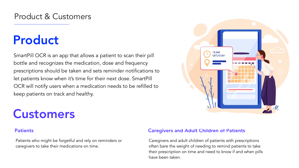### Product & Customers

## Product

## Customers

#### **Patients**

Patients who might be forgetful and rely on reminders or caregivers to take their medications on time.







#### Caregivers and Adult Children of Patients

Caregivers and adult children of patients with prescriptions often bare the weight of needing to remind patients to take their prescription on time and need to know if and when pills have been taken.

SmartPill OCR is an app that allows a patient to scan their pill bottle and recognizes the medication, dose and frequency prescriptions should be taken and sets reminder notifications to let patients know when it's time for their next dose. SmartPill OCR will notify users when a medication needs to be refilled to keep patients on track and healthy.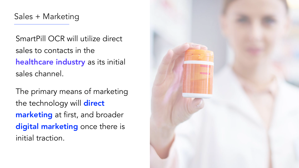SmartPill OCR will utilize direct sales to contacts in the healthcare industry as its initial sales channel.

The primary means of marketing the technology will direct marketing at first, and broader digital marketing once there is initial traction.

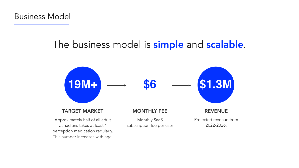#### Business Model



Monthly SaaS subscription fee per user

### The business model is simple and scalable.

**\$6**



#### TARGET MARKET

Approximately half of all adult Canadians takes at least 1 perception medication regularly. This number increases with age.

#### REVENUE

Projected revenue from 2022-2026.

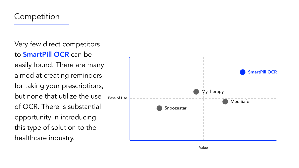Value

Ease of Use Very few direct competitors to SmartPill OCR can be easily found. There are many aimed at creating reminders for taking your prescriptions, but none that utilize the use of OCR. There is substantial opportunity in introducing this type of solution to the healthcare industry.

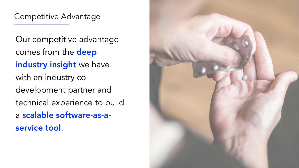### Competitive Advantage

Our competitive advantage comes from the deep industry insight we have with an industry codevelopment partner and technical experience to build a scalable software-as-aservice tool.

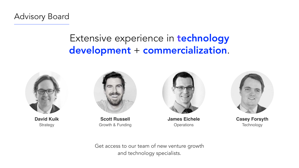#### Advisory Board

**David Kuik Strategy** 



### Extensive experience in technology development + commercialization.



**Casey Forsyth Technology** 

**James Eichele Operations** 



**Scott Russell** Growth & Funding

Get access to our team of new venture growth and technology specialists.

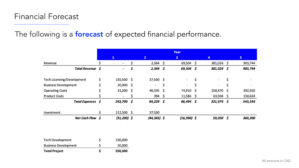### Financial Forecast

### The following is a **forecast** of expected financial performance.

|                                   | Year |                          |     |                |    |                |     |              |    |                |
|-----------------------------------|------|--------------------------|-----|----------------|----|----------------|-----|--------------|----|----------------|
|                                   |      | $\mathbf{1}$             |     | $\mathbf{2}$   |    | $\mathbf{3}$   |     | 4            |    | 5              |
| Revenue                           |      | $\blacksquare$           |     | $2,364$ \$     |    | 69,504         | -\$ | 381,024 \$   |    | 903,744        |
| Total Revenue \$                  |      | $\blacksquare$           | \$  | $2,364$ \$     |    | 69,504 \$      |     | 381,024 \$   |    | 903,744        |
|                                   |      |                          |     |                |    |                |     |              |    |                |
| <b>Tech Licensing/Development</b> | \$   | 192,500 \$               |     | 37,500 \$      |    | $\blacksquare$ | \$  | e.           | \$ | $\blacksquare$ |
| <b>Business Development</b>       | \$   | 20,000 \$                |     | ۰              | \$ | -              |     | -            | \$ | ۰              |
| <b>Operating Costs</b>            |      | $31,200$ \$              |     | 46,335 \$      |    | 74,910 \$      |     | 258,470      | \$ | 392,920        |
| <b>Product Costs</b>              |      | $\overline{\phantom{a}}$ |     | 394 \$         |    | $11,584$ \$    |     | 63,504 \$    |    | 150,624        |
| Total Expenses \$                 |      | 243,700 \$               |     | $84,229$ \$    |    | 86,494         | \$  | $321,974$ \$ |    | 543,544        |
| Investment                        |      | 212,500                  | \$, | 37,500         |    |                |     |              |    |                |
| Net Cash Flow \$                  |      | $(31, 200)$ \$           |     | $(44, 365)$ \$ |    | $(16,990)$ \$  |     | 59,050\$     |    | 360,200        |
|                                   |      |                          |     |                |    |                |     |              |    |                |
| <b>Tech Development</b>           | \$   | 230,000                  |     |                |    |                |     |              |    |                |
| <b>Business Development</b>       |      | 20,000                   |     |                |    |                |     |              |    |                |
| <b>Total Project</b>              | \$   | 250,000                  |     |                |    |                |     |              |    |                |